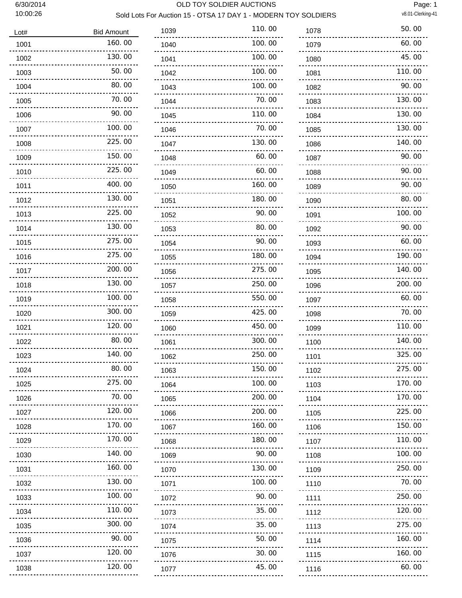#### 6/30/2014 OLD TOY SOLDIER AUCTIONS

Page: 1 Sold Lots For Auction 15 - OTSA 17 DAY 1 - MODERN TOY SOLDIERS v8.01-Clerking-41

# Lot# Bid Amount 160.00 130.00 50.00 80.00 70.00 90.00 100.00 225.00 ------ 150.00 225.00 400.00 130.00 225.00 130.00 275.00 275.00 200.00 130.00 100.00 300.00 120.00 80.00 140.00 80.00 275.00 70.00 120.00 170.00 ........ 170.00 140.00 160.00 130.00 100.00 110.00 300.00 90.00 120.00 120.00

| 1039      | 110.00 |
|-----------|--------|
| 1040      | 100.00 |
| 1041      | 100.00 |
| 1042      | 100.00 |
| 1043      | 100.00 |
| 1044      | 70.00  |
| 1045      | 110.00 |
| 1046      | 70.00  |
| 1047      | 130.00 |
| 1048      | 60.00  |
| 1049      | 60.00  |
| 1050      | 160.00 |
| 1051      | 180.00 |
| 1052      | 90.00  |
| 1053      | 80.00  |
| 1054      | 90.00  |
| 1055      | 180.00 |
| 1056      | 275.00 |
| 1057      | 250.00 |
| 1058      | 550.00 |
| 1059      | 425.00 |
| 1060      | 450.00 |
| 1061      | 300.00 |
| 1062      | 250.00 |
| 1063      | 150.00 |
| 1064      | 100.00 |
| 1065      | 200.00 |
| 1066      | 200.00 |
| 1067      | 160.00 |
| 1068      | 180.00 |
| 1069      | 90.00  |
| 1070      | 130.00 |
| 1071      | 100.00 |
| 1072      | 90.00  |
| 1073      | 35.00  |
| 1074      | 35.00  |
| 1075      | 50.00  |
| 1076      | 30.00  |
| 1077<br>. | 45.00  |
|           |        |

| 1078                                                  | 50.00  |
|-------------------------------------------------------|--------|
| 1079                                                  | 60.00  |
| 1080                                                  | 45.00  |
| 1081                                                  | 110.00 |
| 1082                                                  | 90.00  |
| 1083                                                  | 130.00 |
| 1084                                                  | 130.00 |
| 1085                                                  | 130.00 |
| 1086                                                  | 140.00 |
| 1087                                                  | 90.00  |
| 1088                                                  | 90.00  |
| 1089                                                  | 90.00  |
| 1090                                                  | 80.00  |
| 1091                                                  | 100.00 |
| 1092                                                  | 90.00  |
| 1093                                                  | 60.00  |
| 1094                                                  | 190.00 |
| 1095                                                  | 140.00 |
| 1096                                                  | 200.00 |
| 1097                                                  | 60.00  |
| 1098                                                  | 70.00  |
| 1099                                                  | 110.00 |
| 1100                                                  | 140.00 |
| 1101                                                  | 325.00 |
| 1102                                                  | 275.00 |
| 1103<br><u>Liberal</u><br><u>.</u>                    | 170.00 |
| 1104                                                  | 170.00 |
| 1105                                                  | 225.00 |
| 1106                                                  | 150.00 |
| 1107<br><u>.</u>                                      | 110.00 |
| 1108<br>$\frac{1}{2}$ . $\frac{1}{2}$ . $\frac{1}{2}$ | 100.00 |
| 1109                                                  | 250.00 |
| 1110                                                  | 70.00  |
| 1111<br><u>.</u>                                      | 250.00 |
| 1112<br>.                                             | 120.00 |
| 1113                                                  | 275.00 |
| 1114                                                  | 160.00 |
| 1115<br>.                                             | 160.00 |
| 1116<br><u>.</u>                                      | 60.00  |
|                                                       |        |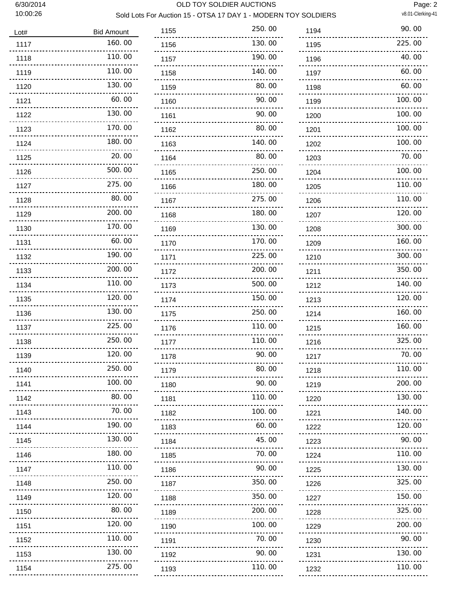#### 6/30/2014 OLD TOY SOLDIER AUCTIONS

Sold Lots For Auction 15 - OTSA 17 DAY 1 - MODERN TOY SOLDIERS

Page: 2<br>v8.01-Clerking-41

| Lot#                         | <b>Bid Amount</b>  |
|------------------------------|--------------------|
| 1117                         | 160.00             |
| 1118<br>---------------      | 110.00             |
| 1119<br><u></u>              | 110.00             |
| 1120<br><u>.</u>             | 130.00             |
| 1121<br><u>.</u>             | 60.00              |
| 1122<br>-----------------    | 130.00             |
| 1123                         | 170.00             |
| <u>.</u><br>1124             | 180.00             |
| $\sim$ $\sim$ $\sim$<br>1125 | 20.00              |
| <u>.</u><br>1126             | 500.00             |
| <u>Liberatur</u><br>1127     | 275.00             |
| <u>.</u><br>1128             | 80.00              |
| <u>Saasaassa</u><br>1129     | 200.00             |
| 1130                         | 170.00             |
| <u>.</u><br>1131             | 60.00              |
| 1132                         | <u>.</u><br>190.00 |
| 1133                         | $\sim$<br>200.00   |
| 1134                         | 110.00             |
| <u>.</u><br>1135             | 120.00             |
| <u>.</u><br>1136             | 130.00             |
| 1137<br>$-1 - 1 - 1 - 1 - 1$ | 225.00             |
| 1138<br>$1.1.1.1 - 1.1$      | 250.00             |
| 1139                         | 120.00             |
| 1140                         | 250.00             |
| 1141                         | 100.00             |
| 1142<br>.                    | 80.00              |
| 1143<br>.                    | 70.00              |
| 1144<br>.                    | 190.00             |
| 1145<br>.                    | 130.00             |
| 1146<br>.                    | 180.00             |
| 1147<br>.                    | 110.00             |
| 1148<br>.                    | 250.00             |
| 1149<br>.                    | 120.00             |
| 1150<br>.                    | 80.00              |
| 1151<br>.                    | 120.00             |
| 1152<br>.                    | 110.00             |
| 1153<br>.                    | 130.00             |
| 1154<br>                     | 275.00             |
|                              |                    |

| 1155 | 250.00 |
|------|--------|
| 1156 | 130.00 |
| 1157 | 190.00 |
| 1158 | 140.00 |
| 1159 | 80.00  |
| 1160 | 90.00  |
| 1161 | 90.00  |
| 1162 | 80.00  |
| 1163 | 140.00 |
| 1164 | 80.00  |
| 1165 | 250.00 |
| 1166 | 180.00 |
| 1167 | 275.00 |
| 1168 | 180.00 |
| 1169 | 130.00 |
| 1170 | 170.00 |
| 1171 | 225.00 |
| 1172 | 200.00 |
| 1173 | 500.00 |
| 1174 | 150.00 |
| 1175 | 250.00 |
| 1176 | 110.00 |
| 1177 | 110.00 |
| 1178 | 90.00  |
| 1179 | 80.00  |
| 1180 | 90.00  |
| 1181 | 110.00 |
| 1182 | 100.00 |
| 1183 | 60.00  |
| 1184 | 45.00  |
| 1185 | 70.00  |
| 1186 | 90.00  |
| 1187 | 350.00 |
| 1188 | 350.00 |
| 1189 | 200.00 |
| 1190 | 100.00 |
| 1191 | 70.00  |
| 1192 | 90.00  |
| 1193 | 110.00 |

| 1194                 | 90.00          |
|----------------------|----------------|
| 1195                 | 225.00         |
| 1196                 | 40.00          |
| 1197                 | 60.00          |
| 1198                 | 60.00          |
| 1199                 | 100.00         |
| 1200                 | 100.00         |
| 1201                 | 100.00         |
| 1202                 | 100.00         |
| 1203                 | 70.00          |
| 1204                 | 100.00         |
| 1205                 | 110.00         |
| 1206                 | 110.00         |
| 1207                 | 120.00         |
| 1208                 | 300.00         |
| 1209                 | 160.00         |
| 1210                 | 300.00         |
| 1211                 | 350.00         |
| 1212                 | 140.00         |
| 1213                 | 120.00         |
| 1214                 | 160.00         |
| 1215                 | 160.00         |
| 1216                 | 325.00         |
| 1217<br>------------ | 70.00<br>----- |
| 1218                 | 110.00         |
| 1219                 | 200.00         |
| 1220                 | 130.00         |
| 1221                 | 140.00         |
| 1222                 | 120.00         |
| 1223                 | 90.00          |
| 1224                 | 110.00         |
| 1225                 | 130.00         |
| 1226                 | 325.00         |
| 1227<br><u>.</u>     | 150.00         |
| 1228                 | 325.00         |
| 1229                 | 200.00         |
| 1230                 | 90.00          |
| 1231                 | 130.00         |
| 1232                 | 110,00         |
|                      |                |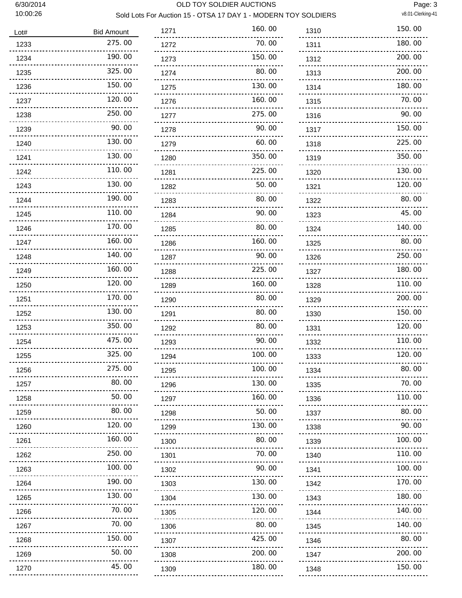#### 6/30/2014 OLD TOY SOLDIER AUCTIONS

Page: 3<br>v8.01-Clerking-41

## Sold Lots For Auction 15 - OTSA 17 DAY 1 - MODERN TOY SOLDIERS

| Lot#                                                  | <b>Bid Amount</b>        |
|-------------------------------------------------------|--------------------------|
| 1233                                                  | 275.00                   |
| 1234                                                  | 190.00                   |
| 1235                                                  | 325.00                   |
| 1236                                                  | 150.00                   |
| 1237                                                  | 120.00                   |
| 1238                                                  | 250.00                   |
| 1239                                                  | 90.00                    |
| 1240                                                  | 130.00                   |
| 1241                                                  | 130.00                   |
| 1242                                                  | 110.00                   |
| 1243                                                  | 130.00                   |
| 1244                                                  | 190.00                   |
| 1245                                                  | 110.00                   |
| 1246                                                  | 170.00                   |
| 1247                                                  | 160.00                   |
| 1248                                                  | 140.00                   |
| 1249                                                  | 160.00                   |
| 1250                                                  | 120.00                   |
| 1251                                                  | 170.00                   |
| 1252                                                  | 130.00                   |
| 1253                                                  | 350.00                   |
| 1254                                                  | 475.00                   |
| 1255                                                  | 325.00                   |
| 1256                                                  | 275.00                   |
| 1257                                                  | 80.00                    |
| 1258<br><u>---------------</u>                        | 50.00                    |
| 1259                                                  | 80.00<br>                |
| 1260<br><u>.</u>                                      | 120.00                   |
| 1261<br>.                                             | 160.00                   |
| 1262<br>.                                             | 250.00                   |
| 1263<br>.                                             | 100.00                   |
| 1264<br><u>.</u>                                      | 190.00<br>22222          |
| 1265<br><u>.</u>                                      | 130.00                   |
| 1266                                                  | 70. 00                   |
| 1267<br>                                              | 70.00                    |
| 1268<br>$\frac{1}{2}$ . $\frac{1}{2}$ . $\frac{1}{2}$ | 150.00<br><u>Liberal</u> |
| 1269                                                  | 50.00<br>.               |
| 1270<br><u>.</u>                                      | 45.00                    |

| 1271                    | 160.00 |
|-------------------------|--------|
| 1272                    | 70.00  |
| 1273                    | 150.00 |
| 1274                    | 80.00  |
| 1275                    | 130.00 |
| 1276                    | 160.00 |
| 1277                    | 275.00 |
| 1278                    | 90.00  |
| 1279                    | 60.00  |
| 1280                    | 350.00 |
| 1281                    | 225.00 |
| 1282                    | 50.00  |
| 1283                    | 80.00  |
| 1284                    | 90.00  |
| 1285                    | 80.00  |
| 1286                    | 160.00 |
| 1287                    | 90.00  |
| 1288                    | 225.00 |
| 1289                    | 160.00 |
| 1290                    | 80.00  |
| 1291                    | 80.00  |
| 1292                    | 80.00  |
| 1293                    | 90.00  |
| 1294                    | 100.00 |
| 1295                    | 100.00 |
| 1296<br><u>.</u>        | 130.00 |
| 1297                    | 160.00 |
| 1298<br>.               | 50.00  |
| 1299<br>                | 130.00 |
| 1300<br><u>.</u>        | 80.00  |
| 1301                    | 70.00  |
| 1302<br>.               | 90.00  |
| 1303<br><u>.</u>        | 130.00 |
| 1304<br><u>odobodob</u> | 130.00 |
| 1305<br>.               | 120.00 |
| 1306<br>.               | 80.00  |
| 1307<br>.               | 425.00 |
| 1308                    | 200.00 |
| 1309                    | 180.00 |

| 1310                        | 150.00  |
|-----------------------------|---------|
| 1311                        | 180.00  |
| 1312                        | 200.00  |
| 1313                        | 200, 00 |
| 1314                        | 180. 00 |
| 1315                        | 70.00   |
| 1316                        | 90.00   |
| 1317                        | 150.00  |
| 1318                        | 225.00  |
| 1319                        | 350.00  |
| 1320                        | 130.00  |
| 1321                        | 120.00  |
| 1322                        | 80.00   |
| 1323                        | 45.00   |
| 1324                        | 140.00  |
| 1325                        | 80.00   |
| 1326                        | 250.00  |
| 1327                        | 180.00  |
| 1328                        | 110.00  |
| 1329                        | 200, 00 |
| 1330                        | 150.00  |
| 1331                        | 120.00  |
| 1332                        | 110. 00 |
| 1333                        | 120.00  |
| 1334                        | 80.00   |
| 1335<br><u>.</u>            | 70.00   |
| 1336<br><u>.</u>            | 110.00  |
| 1337<br><u></u>             | 80.00   |
| 1338<br>.                   | 90.00   |
| 1339<br><u>.</u>            | 100.00  |
| 1340<br>.                   | 110.00  |
| 1341<br>.                   | 100.00  |
| 1342<br>.                   | 170.00  |
| 1343<br><u>Liberal</u>      | 180.00  |
| 1344<br>.                   | 140.00  |
| 1345<br>.                   | 140.00  |
| 1346<br>.                   | 80.00   |
| 1347<br><u>Seesee</u>       | 200.00  |
| 1348<br>------------------- | 150.00  |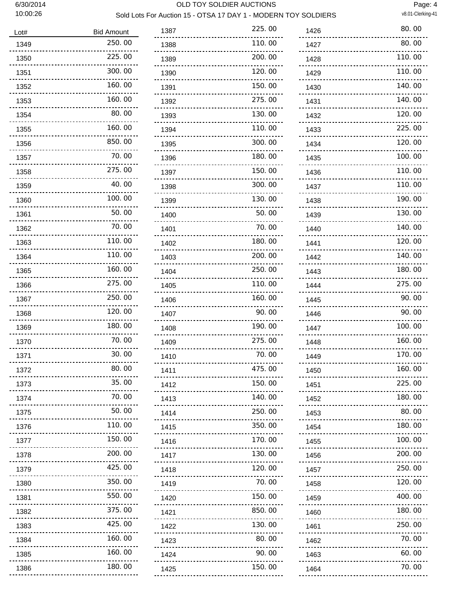#### 6/30/2014 OLD TOY SOLDIER AUCTIONS

Page: 4<br>v8.01-Clerking-41

### Sold Lots For Auction 15 - OTSA 17 DAY 1 - MODERN TOY SOLDIERS

| Lot#                               | <b>Bid Amount</b>          |
|------------------------------------|----------------------------|
| 1349                               | 250.00                     |
| 1350                               | 225.00                     |
| 1351                               | 300.00                     |
| 1352                               | 160.00                     |
| 1353                               | 160.00                     |
| 1354                               | 80.00                      |
| 1355                               | 160.00                     |
| 1356                               | 850.00                     |
| 1357                               | 70.00                      |
| 1358                               | 275.00                     |
| 1359                               | 40.00                      |
| 1360                               | 100.00                     |
| 1361                               | 50.00                      |
| 1362                               | 70.00                      |
| 1363                               | 110.00                     |
| 1364                               | 110.00                     |
| 1365                               | 160.00                     |
| 1366                               | 275.00                     |
| 1367                               | 250.00                     |
| 1368                               | 120.00                     |
| 1369                               | 180.00                     |
| 1370                               | 70.<br>ΩO                  |
| 1371                               | 30.00                      |
| 1372<br><u>------------</u>        | 80. OO                     |
| 1373                               | 35.00<br><u>Liberation</u> |
| 1374<br>.                          | 70.00                      |
| 1375                               | 50.00                      |
| 1376<br>.                          | 110.00                     |
| 1377                               | 150.00                     |
| 1378<br>.                          | 200.00                     |
| 1379<br>.                          | 425.00                     |
| 1380<br>.                          | 350.00                     |
| 1381<br><u>Liberal</u><br><u>.</u> | 550.00                     |
| 1382<br>$\sim$ - $\sim$ - $\sim$   | 375.00                     |
| 1383<br>.                          | 425.00                     |
| 1384<br>.                          | 160.00                     |
| 1385<br><u></u>                    | 160.00                     |
| 1386<br>                           | 180.00                     |

| 1387                           | 225.00       |
|--------------------------------|--------------|
| 1388                           | 110.00       |
| 1389                           | 200.<br>OO   |
| 1390                           | 120.00       |
| 1391                           | 150. 00      |
| 1392                           | 275.00       |
| 1393                           | 130. 00      |
| 1394                           | 110.00       |
| 1395                           | 300.00       |
| 1396                           | 180. 00      |
| 1397                           | 150.00       |
| 1398                           | 300.<br>OO   |
| 1399                           | 130.00       |
| 1400                           | 50. 00       |
| 1401                           | 70. 00       |
| 1402                           | 180.00       |
| 1403                           | 200.00       |
| 1404                           | 250.00       |
| 1405                           |              |
| 1406                           | 160.<br>()() |
| 1407                           | 90.<br>OO    |
| 1408                           | 190.<br>ΩO   |
| 1409                           | 275.00       |
| 1410                           | 70. 00       |
| 1411                           | 475.00       |
| 1412<br><u></u>                | 150.00       |
| 1413<br><u>---------------</u> | 140.00       |
| 1414<br>                       | 250.00       |
| 1415<br>.                      | 350.00       |
| 1416<br>.                      | 170.00       |
| 1417<br><u>.</u><br>           | 130.00       |
| 1418<br>                       | 120.00       |
| 1419<br>.                      | 70.00        |
| 1420<br><u></u>                | 150.00       |
| 1421<br>.                      | 850.00       |
| 1422<br>.                      | 130.00       |
| 1423<br>.                      | 80.00        |
| 1424<br><u></u>                | 90.00        |
| 1425<br>                       | 150.00       |

| 1426      | 80.00  |
|-----------|--------|
| 1427      | 80.00  |
| 1428      | 110.00 |
| 1429      | 110.00 |
| 1430      | 140.00 |
| 1431      | 140.00 |
| 1432      | 120.00 |
| 1433      | 225.00 |
| 1434      | 120.00 |
| 1435      | 100.00 |
| 1436      | 110.00 |
| 1437      | 110.00 |
| 1438      | 190.00 |
| 1439      | 130.00 |
| 1440      | 140.00 |
| 1441      | 120.00 |
| 1442      | 140.00 |
| 1443      | 180.00 |
| 1444      | 275.00 |
| 1445      | 90.00  |
| 1446      | 90.00  |
| 1447      | 100.00 |
| 1448      | 160.00 |
| 1449      | 170.00 |
| 1450      | 160.00 |
| 1451      | 225.00 |
| 1452      | 180.00 |
| 1453      | 80.00  |
| 1454      | 180.00 |
| 1455      | 100.00 |
| 1456      | 200.00 |
| 1457      | 250.00 |
| 1458      | 120.00 |
| 1459      | 400.00 |
| 1460      | 180.00 |
| 1461      | 250.00 |
| 1462      | 70.00  |
| 1463      | 60.00  |
| 1464<br>. | 70.00  |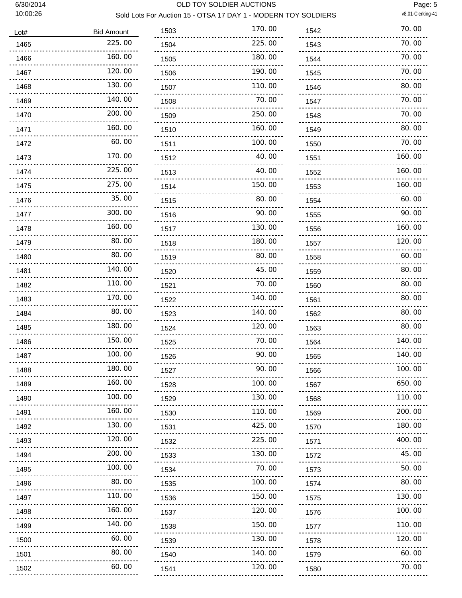#### 6/30/2014 OLD TOY SOLDIER AUCTIONS

Page: 5<br>v8.01-Clerking-41

### Sold Lots For Auction 15 - OTSA 17 DAY 1 - MODERN TOY SOLDIERS

| Lot#                              | <b>Bid Amount</b> |
|-----------------------------------|-------------------|
| 1465                              | 225.00            |
| 1466                              | 160.00            |
| 1467                              | 120.00            |
| 1468                              | 130.00            |
| 1469                              | 140.00            |
| 1470                              | 200.00            |
| 1471                              | 160.00            |
| 1472                              | 60. 00            |
| 1473                              | 170.00            |
| 1474                              | 225.00            |
| 1475                              | 275.00            |
| 1476                              | 35.00             |
| 1477                              | 300.00            |
| 1478                              | 160.00            |
| 1479                              | 80.00             |
| 1480                              | 80.00             |
| 1481                              | 140.00            |
| 1482                              | 110.00            |
| 1483                              | 170.00            |
| 1484                              | 80.00             |
| 1485                              | 180.00            |
| 1486                              | 150.00            |
| 1487                              | 100. 00           |
| 1488<br><u></u>                   | 180. UU           |
| 1489<br>.                         | 160.00            |
| 1490                              | 100.00            |
| 1491<br>.                         | 160.00            |
| 1492<br>                          | 130.00            |
| 1493<br>.                         | 120.00            |
| 1494<br>.<br>$\sim$ $\sim$ $\sim$ | 200.00            |
| 1495<br>                          | 100.00            |
| 1496<br>                          | 80.00             |
| 1497<br>                          | 110.00            |
| 1498<br>                          | 160.00            |
| 1499<br>.<br>$- - -$              | 140.00            |
| 1500<br>                          | 60.00             |
| 1501<br>.                         | 80.00             |
| 1502                              | 60.00             |

| 225.00    |
|-----------|
|           |
| 180.00    |
| 190.00    |
| 110.00    |
| 70. 00    |
| 250.00    |
| 160.00    |
| 100.00    |
| 40.00     |
| 40. 00    |
| 150.00    |
| 80.00     |
| 90.00     |
| 130.00    |
| 180.00    |
| 80.00     |
| 45.00     |
| 70.<br>OO |
| 140.00    |
| 140.00    |
| 120.00    |
| 70.00     |
| 90. OO    |
| 90.00     |
| 100.00    |
|           |
| 130.00    |
| 110.00    |
| 425.00    |
| 225.00    |
| 130.00    |
| 70.00     |
| 100.00    |
| 150.00    |
| 120.00    |
| 150.00    |
| 130.00    |
| 140.00    |
|           |

| 1542                      | 70.00  |
|---------------------------|--------|
| 1543                      | 70.00  |
| 1544                      | 70.00  |
| 1545                      | 70.00  |
| 1546                      | 80.00  |
| 1547                      | 70.00  |
| 1548                      | 70.00  |
| 1549                      | 80.00  |
| 1550                      | 70.00  |
| 1551                      | 160.00 |
| 1552                      | 160.00 |
| 1553                      | 160.00 |
| 1554                      | 60.00  |
| 1555                      | 90.00  |
| 1556                      | 160.00 |
| 1557                      | 120.00 |
| 1558                      | 60.00  |
| 1559                      | 80.00  |
| 1560                      | 80.00  |
| 1561                      | 80.00  |
| 1562                      | 80.00  |
| 1563                      | 80.00  |
| 1564                      | 140.00 |
| 1565                      | 140.00 |
| 1566                      | 100.00 |
| 1567<br>بالمحامي          | 650.00 |
| 1568                      | 110.00 |
| 1569<br><u>.</u>          | 200.00 |
| 1570<br>.                 | 180.00 |
| 1571<br>.                 | 400.00 |
| 1572<br><u>.</u>          | 45.00  |
| 1573<br>.                 | 50.00  |
| 1574<br>.                 | 80.00  |
| 1575<br><u>Liberation</u> | 130.00 |
| 1576                      | 100.00 |
| 1577<br>$- - - -$         | 110.00 |
| 1578                      | 120,00 |
| 1579                      | 60.00  |
| 1580                      | 70. 00 |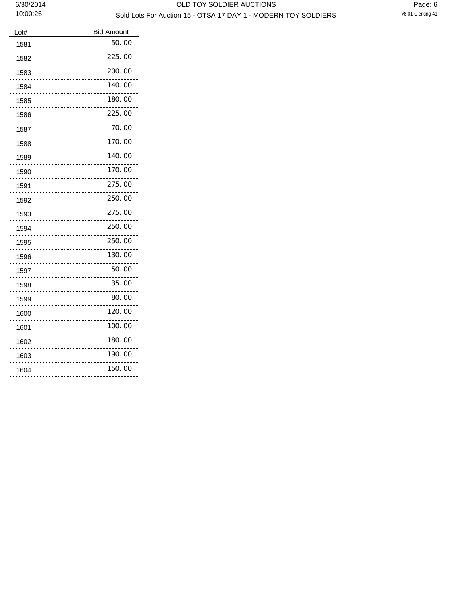| Lot# | <b>Bid Amount</b> |
|------|-------------------|
| 1581 | 50.00             |
| 1582 | 225.00            |
| 1583 | 200.00            |
| 1584 | 140.00            |
| 1585 | 180.00            |
| 1586 | 225.00            |
| 1587 | 70.00             |
| 1588 | 170.00            |
| 1589 | 140.00            |
| 1590 | 170.00            |
| 1591 | 275.00            |
| 1592 | 250.00            |
| 1593 | 275.00            |
| 1594 | 250.00            |
| 1595 | 250.00            |
| 1596 | 130.00            |
| 1597 | 50.00             |
| 1598 | 35.00             |
| 1599 | 80.00             |
| 1600 | 120.00            |
| 1601 | 100.00            |
| 1602 | 180.00            |
| 1603 | 190.00            |
| 1604 | 150.00            |
|      |                   |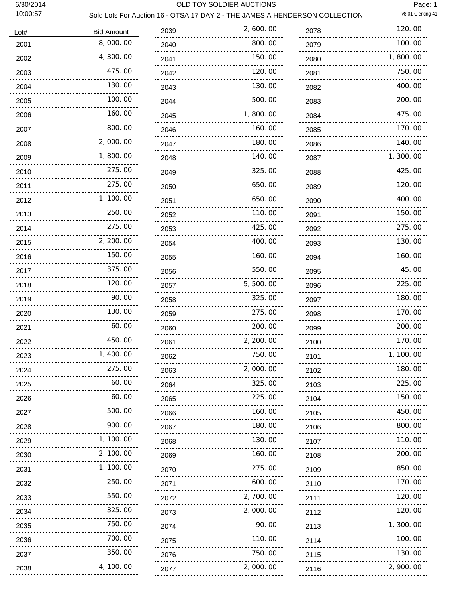#### 6/30/2014 OLD TOY SOLDIER AUCTIONS

Sold Lots For Auction 16 - OTSA 17 DAY 2 - THE JAMES A HENDERSON COLLECTION v8.01-Clerking-41

Page: 1

| Lot# | <b>Bid Amount</b>    | 2039 | 2,600.00             |
|------|----------------------|------|----------------------|
| 2001 | 8,000.00             | 2040 | 800.00               |
| 2002 | 4,300.00             | 2041 | 150.00               |
| 2003 | 475.00               | 2042 | 120.00               |
| 2004 | 130.00               | 2043 | 130.00               |
| 2005 | 100.00               | 2044 | 500.00               |
| 2006 | 160.00               | 2045 | 1,800.00             |
| 2007 | 800.00               | 2046 | 160.00               |
| 2008 | 2,000.00             | 2047 | 180.00               |
| 2009 | 1,800.00             | 2048 | 140.00               |
| 2010 | 275.00               | 2049 | 325.00               |
| 2011 | 275.00               | 2050 | 650.00               |
| 2012 | 1, 100, 00           | 2051 | 650.00               |
| 2013 | 250.00               | 2052 | 110.00               |
| 2014 | 275.00               | 2053 | 425.00               |
| 2015 | 2, 200. 00           | 2054 | 400.00               |
| 2016 | 150.00               | 2055 | 160.00               |
| 2017 | 375.00               | 2056 | 550.00               |
| 2018 | 120.00               | 2057 | 5,500.00             |
| 2019 | 90.00                | 2058 | 325.00               |
| 2020 | 130.00               | 2059 | 275.00               |
| 2021 | 60.00                | 2060 | 200.00               |
| 2022 | 450.00               | 2061 | 2, 200. 00           |
| 2023 | 1, 400.00            | 2062 | 750.00               |
| 2024 | 275.00               | 2063 | 2,000.00<br><u>.</u> |
| 2025 | 60.00                | 2064 | 325.00<br>.          |
| 2026 | 60.00<br><u>.</u>    | 2065 | 225.00<br>. <b>.</b> |
| 2027 | 500.00<br><u>.</u>   | 2066 | 160.00               |
| 2028 | 900.00               | 2067 | 180.00<br><u>.</u>   |
| 2029 | 1, 100.00            | 2068 | 130.00<br><u>.</u>   |
| 2030 | 2, 100.00            | 2069 | 160.00               |
| 2031 | 1, 100.00            | 2070 | 275.00<br><u>.</u> . |
| 2032 | 250.00<br><u>.</u>   | 2071 | 600.00<br>.          |
| 2033 | 550.00<br><u>.</u> . | 2072 | 2,700.00             |
| 2034 | 325.00<br><u></u>    | 2073 | 2,000.00             |
| 2035 | 750.00               | 2074 | 90.00<br><u>.</u>    |
| 2036 | 700.00               | 2075 | 110.00<br>.          |
| 2037 | 350.00               | 2076 | 750.00<br>.          |
| 2038 | 4, 100. 00           | 2077 | 2,000.00             |

| 2078                    | 120.00       |
|-------------------------|--------------|
| 2079                    | 100.00       |
| 2080                    | 1,800.00     |
| 2081                    | 750.00       |
| 2082                    | 400.00       |
| 2083                    | 200.00       |
| 2084                    | 475.00       |
| 2085                    | 170.00       |
| 2086                    | 140. 00      |
| 2087                    | 1, 300. 00   |
| 2088                    | 425.00       |
| 2089                    | 120.00       |
| 2090                    | 400.00       |
| 2091                    | 150.00       |
| 2092                    | 275.00       |
| 2093                    | 130.00       |
| 2094                    | 160.00       |
| 2095                    | 45.00        |
| 2096                    | 225.00       |
| 2097                    | 180.00       |
| 2098                    | 170.00       |
|                         | 200.00       |
| 2099                    | 170.00       |
| 2100                    | 1.<br>100.00 |
| 2101                    | 180.00       |
| 2102<br>.               | 225.00       |
| 2103<br>.               |              |
| 2104<br>.               | 150.00       |
| 2105<br><u>Liberal</u>  | 450.00       |
| 2106<br>.               | 800.00       |
| 2107<br>.               | 110.00       |
| 2108<br>.               | 200.00       |
| 2109<br>--------------- | 850.00       |
| 2110<br><u>.</u>        | 170.00       |
| 2111<br><u>.</u>        | 120.00       |
| 2112<br><u>.</u>        | 120.00       |
| 2113<br>.               | 1,300.00     |
| 2114                    | 100.00       |
| 2115<br><u>.</u>        | 130.00       |
| 2116<br><u>.</u>        | 2,900.00     |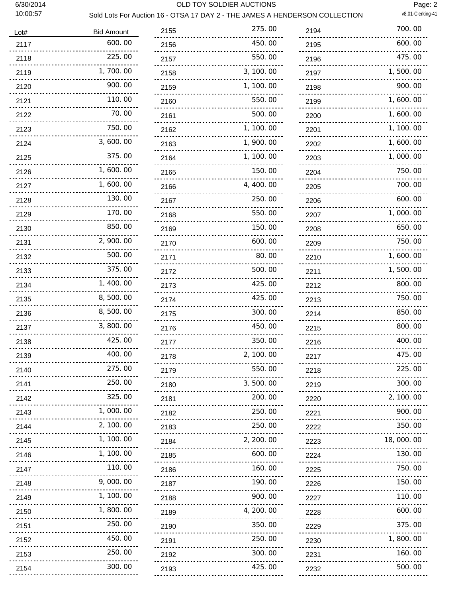#### 6/30/2014 OLD TOY SOLDIER AUCTIONS

Page: 2<br>v8.01-Clerking-41

### Sold Lots For Auction 16 - OTSA 17 DAY 2 - THE JAMES A HENDERSON COLLECTION

| Lot#      | <b>Bid Amount</b> |
|-----------|-------------------|
| 2117      | 600.00            |
| 2118      | 225.00            |
| 2119      | 1,700.00          |
| 2120      | 900.00            |
| 2121      | 110.00            |
| 2122      | 70.00             |
| 2123      | 750.00            |
| 2124      | 3,600.00          |
| 2125      | 375.00            |
| 2126      | 1,600.00          |
| 2127      | 1,600.00          |
| 2128      | 130.00            |
| 2129      | 170.00            |
| 2130      | 850.00            |
| 2131      | 2,900.00          |
| 2132      | 500.00            |
| 2133      | 375.00            |
| 2134      | 1,400.00          |
| 2135      | 8,500.00          |
| 2136      | 8,500.00          |
| 2137      | 3,800.00          |
| 2138      | 425.00            |
| 2139      | 400.00            |
| 2140      | 275.00            |
| 2141      | 250.00            |
| 2142      | 325.00            |
| 2143<br>. | 1,000.00          |
| 2144      | 2, 100. 00        |
| 2145      | 1, 100. 00        |
| 2146      | 1, 100.00         |
| 2147      | 110.00            |
| 2148      | 9, 000. 00        |
| 2149      | 100.00<br>1.      |
| 2150      | 1,800.00          |
| 2151<br>. | 250.00            |
| 2152      | 450.00            |
| 2153      | 250.00            |
| 2154      | 300.00            |

| 2155                   | 275.00       |
|------------------------|--------------|
| 2156                   | 450.00       |
| 2157                   | 550.00       |
| 2158                   | 3, 100. 00   |
| 2159                   | 100.00<br>1, |
| 2160                   | 550.00       |
| 2161                   | 500.00       |
| 2162                   | 1, 100.00    |
| 2163                   | 900.00<br>1, |
| 2164                   | 100.00<br>1, |
| 2165                   | 150.00       |
| 2166                   | 4,400.00     |
| 2167                   | 250.00       |
| 2168                   | 550.00       |
| 2169                   | 150.00       |
| 2170                   | 600.00       |
| 2171                   | 80.00        |
| 2172                   | 500.00       |
| 2173                   | 425,00       |
| 2174                   | 425.00       |
| 2175                   | 300.00       |
| 2176                   | 450.00       |
| 2177                   | 350.00       |
| 2178                   | 2, 100. 00   |
| 2179                   | 550.00       |
| 2180                   | 3, 500. 00   |
| 2181                   | 200.00       |
| 2182<br><u></u>        | 250.00       |
| 2183<br>$\cdots$       | 250.00       |
| 2184<br><u>.</u>       | 2, 200. 00   |
| 2185                   | 600.00       |
| 2186                   | 160.00       |
| 2187                   | 190.00       |
| 2188                   | 900.00       |
| 2189                   | 4, 200. 00   |
| 2190<br>.              | 350.00       |
| 2191                   | 250.00       |
| 2192                   | 300.00       |
| 2193<br>.<br>$- - - -$ | 425.00       |

| 2194             | 700.00                  |
|------------------|-------------------------|
| 2195             | 600.00                  |
| 2196             | 475.00                  |
| 2197             | 1,500.00                |
| 2198             | 900.00                  |
| 2199             | 1,600.00                |
| 2200             | 1, 600. 00              |
| 2201             | 1, 100. 00              |
| 2202             | 1,600.00                |
| 2203             | 1,000.00                |
| 2204             | 750.00                  |
| 2205             | 700.00                  |
| 2206             | 600.00                  |
| 2207             | 1,000.00                |
| 2208             | 650.00                  |
| 2209             | 750.00                  |
| 2210             | 1,600.00                |
| 2211             | 1,500.00                |
| 2212             | 800.00                  |
| 2213             | 750.00                  |
| 2214             | 850.00                  |
| 2215             | 800.00                  |
| 2216             | 400.00                  |
| 2217             | 475.00                  |
| 2218             | 225.00                  |
| 2219             | 300.00<br><u>Louisi</u> |
| 2220             | 2, 100. 00              |
| 2221             | 900.00                  |
| 2222<br><u>.</u> | 350.00                  |
| 2223             | 18,000,00               |
| 2224             | 130.00                  |
| 2225             | 750.00                  |
| 2226             | 150.00                  |
| 2227             | 110.00                  |
| 2228<br>.        | 600.00                  |
| 2229             | 375.00                  |
| 2230<br>.        | 1, 800, 00              |
| 2231             | 160.00                  |
| 2232<br>         | 500.00<br>-------       |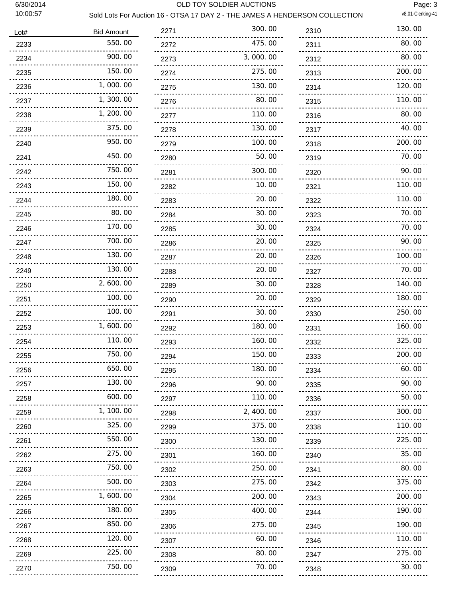#### 6/30/2014 OLD TOY SOLDIER AUCTIONS

Page: 3

## Sold Lots For Auction 16 - OTSA 17 DAY 2 - THE JAMES A HENDERSON COLLECTION v8.01-Clerking-41

| Lot# | <b>Bid Amount</b>                                     | 2271      | 300.00                           |
|------|-------------------------------------------------------|-----------|----------------------------------|
| 2233 | 550.00                                                | 2272      | 475.00<br><u></u>                |
| 2234 | 900.00                                                | 2273      | 3,000.00<br><u>.</u>             |
| 2235 | 150.00<br><u>.</u>                                    | 2274      | 275.00<br>                       |
| 2236 | 1,000.00<br><u></u> .                                 | 2275      | 130.00<br>---------------------- |
| 2237 | 1,300.00                                              | 2276      | 80.00                            |
| 2238 | <u></u> .<br>1, 200. 00<br><u></u>                    | 2277      | <u></u><br>110.00<br><u>.</u>    |
| 2239 | 375.00<br>.                                           | 2278      | 130.00                           |
| 2240 | 950.00                                                | 2279      | <u>.</u><br>100.00               |
| 2241 | 450.00                                                | 2280      | <u>.</u><br>50.00                |
| 2242 | <u>.</u><br>750.00                                    | 2281      | <br>300.00                       |
| 2243 | 150.00                                                | 2282      | 10.00                            |
| 2244 | <u></u><br>180.00                                     | 2283      | <u></u><br>20.00                 |
| 2245 | <u></u><br>80.00<br>-<br>---------------------------- | 2284      | 30.00                            |
| 2246 | 170.00                                                | 2285      | ----<br>30.00                    |
| 2247 | <br>700.00<br>----- <b>-------------</b>              | 2286      | <u>.</u><br>20.00                |
| 2248 | 130.00                                                | 2287      | 20.00                            |
| 2249 | 130.00                                                | 2288      | <u>.</u><br>20.00                |
| 2250 | 2,600.00                                              | 2289      | ----------------------<br>30.00  |
| 2251 | <u>.</u><br>100.00<br><u>.</u>                        | 2290      | 20.00                            |
| 2252 | 100.00                                                | 2291      | <u></u><br>30.00                 |
| 2253 | 1,600.00                                              | 2292      | <u>.</u><br>180.00<br><u></u>    |
| 2254 | 110.00                                                | 2293      | 160.00                           |
| 2255 | 750.00                                                | 2294      | 150.00                           |
| 2256 | 650.00                                                | 2295      | 180.00<br><u>.</u>               |
| 2257 | 130.00<br>                                            | 2296      | 90.00                            |
| 2258 | 600.00<br><u></u>                                     | 2297      | 110.00<br>                       |
| 2259 | 1, 100.00                                             | .<br>2298 | 2, 400.00<br>                    |
| 2260 | 325.00                                                | 2299      | 375.00                           |
| 2261 | 550.00<br>--------------------                        | 2300      | 130.00<br>.                      |
| 2262 | 275.00<br><u></u>                                     | 2301      | 160.00<br><u></u>                |
| 2263 | 750.00<br><u>.</u>                                    | 2302      | 250.00<br><u>.</u>               |
| 2264 | 500.00<br>.                                           | 2303      | 275.00<br>                       |
| 2265 | 1,600.00<br><u>.</u>                                  | 2304      | 200.00                           |
| 2266 | 180.00                                                | 2305      | 400.00                           |
| 2267 | 850.00                                                | 2306      | 275.00                           |
| 2268 | 120.00<br>.                                           | 2307      | 60.00<br>                        |
| 2269 | 225.00<br>----------------------                      | 2308      | 80.00<br><u></u>                 |
| 2270 | 750.00                                                | 2309      | .<br>70.00                       |
|      |                                                       |           |                                  |

| 2310             | 130.00  |
|------------------|---------|
| 2311             | 80.00   |
| 2312             | 80.00   |
| 2313             | 200.00  |
| 2314             | 120.00  |
| 2315             | 110.00  |
| 2316             | 80.00   |
| 2317             | 40.00   |
| 2318             | 200.00  |
| 2319             | 70.00   |
| 2320             | 90.00   |
| 2321             | 110.00  |
| 2322             | 110.00  |
| 2323             | 70. 00  |
| 2324             | 70.00   |
| 2325             | 90.00   |
| 2326             | 100.00  |
| 2327             | 70.00   |
| 2328             | 140.00  |
| 2329             | 180. 00 |
| 2330             | 250.00  |
| 2331             | 160.00  |
| 2332             | 325.00  |
| 2333             | 200.00  |
| 2334             | 60.00   |
| 2335             | 90.00   |
| 2336             | 50.00   |
| 2337             | 300.00  |
| 2338             | 110.00  |
| 2339             | 225.00  |
| 2340             | 35.00   |
| 2341             | 80.00   |
| 2342<br><u>.</u> | 375.00  |
| 2343             | 200.00  |
| 2344<br>.        | 190.00  |
| 2345<br>.        | 190.00  |
| 2346             | 110.00  |
| 2347             | 275.00  |
| 2348             | 30.00   |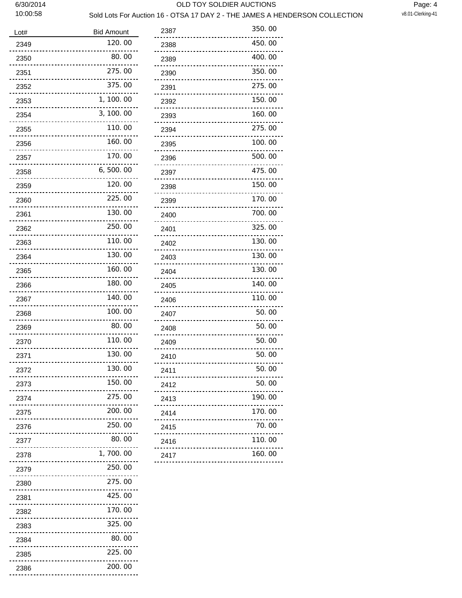#### 6/30/2014 OLD TOY SOLDIER AUCTIONS

### Sold Lots For Auction 16 - OTSA 17 DAY 2 - THE JAMES A HENDERSON COLLECTION

| Lot# | <b>Bid Amount</b>                                 | 2387 | 350.00                    |
|------|---------------------------------------------------|------|---------------------------|
| 2349 | 120.00                                            | 2388 | 450.00<br><u>.</u>        |
| 2350 | 80.00<br><u>.</u>                                 | 2389 | 400.00<br><u></u>         |
| 2351 | 275.00<br><u>.</u>                                | 2390 | 350.00<br><u>.</u> .      |
| 2352 | 375.00<br><u>         ------</u>                  | 2391 | 275.00<br><u>.</u> .      |
| 2353 | 1, 100.00<br><u>.</u>                             | 2392 | 150.00<br><u>.</u>        |
| 2354 | 3, 100.00                                         | 2393 | 160.00                    |
| 2355 | 110.00                                            | 2394 | 275.00<br><u>.</u>        |
| 2356 | 160.00                                            | 2395 | 100.00<br><u></u>         |
| 2357 | 170.00<br><u>.</u>                                | 2396 | 500.00<br><u>.</u> .      |
| 2358 | 6,500.00<br>-------------                         | 2397 | 475.00<br><u></u> .       |
| 2359 | 120.00                                            | 2398 | 150.00<br>                |
| 2360 | 225.00<br><u>.</u> .                              | 2399 | 170.00<br>                |
| 2361 | 130.00<br><u></u>                                 | 2400 | 700.00<br><u>.</u>        |
| 2362 | 250.00<br><u> - - - - - - - - - - - - - - - -</u> | 2401 | 325.00                    |
| 2363 | 110.00                                            | 2402 | 130.00<br><u>.</u>        |
| 2364 | 130.00                                            | 2403 | 130.00<br>                |
| 2365 | 160.00<br>.                                       | 2404 | 130.00<br>                |
| 2366 | 180.00                                            | 2405 | 140.00                    |
| 2367 | 140.00                                            | 2406 | 110.00<br><u>.</u>        |
| 2368 | 100.00                                            | 2407 | 50.00<br><u></u> .        |
| 2369 | 80.00<br>.                                        | 2408 | 50.00<br><u>.</u>         |
| 2370 | 110.00                                            | 2409 | 50.00                     |
| 2371 | 130.00                                            | 2410 | 50.00                     |
| 2372 | 130.00                                            | 2411 | 50.00                     |
| 2373 | 150.00<br>                                        | 2412 | 50.00<br><u>.</u> .       |
| 2374 | 275.00                                            | 2413 | 190.00<br>.               |
| 2375 | 200.00<br><u>.</u> .                              | 2414 | 170.00<br>                |
| 2376 | 250.00<br>.                                       | 2415 | 70.00<br><br><u> 2222</u> |
| 2377 | 80.00<br>                                         | 2416 | 110.00                    |
| 2378 | 1,700.00<br><u>.</u>                              | 2417 | 160.00<br><u></u>         |
| 2379 | 250.00<br><u></u> .                               |      |                           |
| 2380 | 275.00<br>.                                       |      |                           |
| 2381 | 425.00<br>.                                       |      |                           |
| 2382 | 170.00<br><u></u>                                 |      |                           |
| 2383 | 325.00<br>.                                       |      |                           |
| 2384 | 80.00<br>--------------------                     |      |                           |
| 2385 | 225.00<br>.                                       |      |                           |
| 2386 | 200.00                                            |      |                           |
|      |                                                   |      |                           |

| 2388      | 450.00 |
|-----------|--------|
| 2389      | 400.00 |
| 2390      | 350.00 |
| 2391      | 275.00 |
| 2392      | 150.00 |
| 2393      | 160.00 |
| 2394      | 275.00 |
| 2395      | 100.00 |
| 2396      | 500.00 |
| 2397      | 475.00 |
| 2398      | 150.00 |
| 2399      | 170.00 |
| 2400      | 700.00 |
| 2401      | 325.00 |
| 2402      | 130.00 |
| 2403      | 130.00 |
| 2404      | 130.00 |
| 2405      | 140.00 |
| 2406      | 110.00 |
| 2407      | 50.00  |
| 2408      | 50. 00 |
| 2409      | 50.00  |
| 2410      | 50.00  |
| 2411      | 50.00  |
| 2412      | 50.00  |
| 2413      | 190.00 |
| 2414      | 170.00 |
| 2415<br>. | 70.00  |
| 2416<br>  | 110.00 |
| 2417      | 160.00 |
|           |        |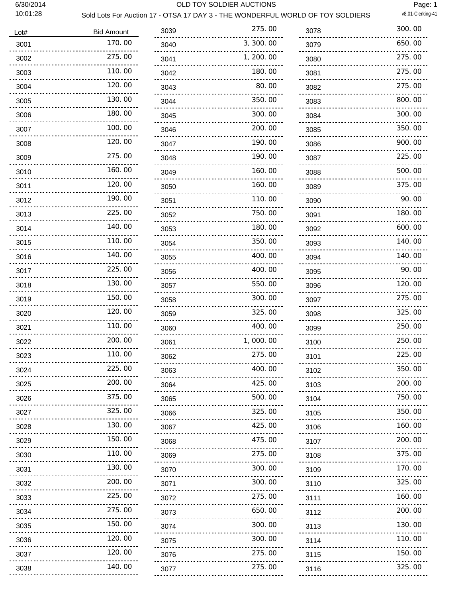#### 6/30/2014 OLD TOY SOLDIER AUCTIONS

Page: 1

## Sold Lots For Auction 17 - OTSA 17 DAY 3 - THE WONDERFUL WORLD OF TOY SOLDIERS v8.01-Clerking-41

| Lot# | <b>Bid Amount</b>               | 3039 | 275.00                          |
|------|---------------------------------|------|---------------------------------|
| 3001 | 170.00                          | 3040 | 3, 300. 00                      |
| 3002 | 275.00                          | 3041 | 1, 200, 00                      |
| 3003 | <u>.</u> .<br>110.00            | 3042 | <u>.</u><br>180.00              |
| 3004 | 120.00                          | 3043 | 80.00                           |
| 3005 | 130.00                          | 3044 | <u>.</u><br>350.00              |
| 3006 | 180.00                          | 3045 | <u>.</u><br>300.00              |
| 3007 | <u>.</u><br>100.00              | 3046 | <u>.</u><br>200.00              |
| 3008 | <u>.</u><br>120.00              | 3047 | <u>.</u><br>190.00              |
| 3009 | 275.00                          | 3048 | <u>.</u><br>190.00              |
| 3010 | 160.00                          | 3049 | 160.00                          |
| 3011 | <u>-------------</u><br>120,00  | 3050 | 160.00                          |
| 3012 | 190.00                          | 3051 | 110.00                          |
| 3013 | 225.00                          | 3052 | <u>.</u><br>750.00              |
| 3014 | 140.00                          | 3053 | _________________<br>180.00     |
| 3015 | 110.00                          | 3054 | <u>.</u><br>350.00              |
| 3016 | 140.00                          | 3055 | 400.00                          |
| 3017 | 225.00                          | 3056 | 400.00                          |
| 3018 | 130.00                          | 3057 | .<br>550.00                     |
| 3019 | 150.00                          | 3058 | 300.00                          |
| 3020 | 120.00                          | 3059 | 325.00                          |
| 3021 | 110.00                          | 3060 | 400.00                          |
| 3022 | 200.00                          | 3061 | 1,000,00                        |
| 3023 | 110.00                          | 3062 | 275.00                          |
| 3024 | 225.00                          | 3063 | 400.00                          |
| 3025 | 200.00                          | 3064 | <u></u><br>425.00               |
| 3026 | ------------------<br>375.00    | 3065 | <u></u><br>500.00               |
| 3027 | <u>.</u><br>325.00              | 3066 | 325.00                          |
| 3028 | 130.00                          | 3067 | .<br>425.00                     |
| 3029 | <u>.</u><br>150.00              | 3068 | <u></u> .<br>475.00             |
| 3030 | <u>.</u><br>110.00              | 3069 | <u>.</u><br>275.00              |
| 3031 | <u>.</u> .<br>130.00            | 3070 | <br>300.00                      |
| 3032 | ---------------------<br>200.00 | 3071 | 300.00                          |
| 3033 | .<br>225.00                     | 3072 | <br>275.00                      |
| 3034 | <br>275.00                      | 3073 | <u>.</u> .<br>.<br>650.00       |
| 3035 | <u>.</u><br>150.00              | 3074 | .<br>300.00                     |
| 3036 | <u>.</u><br>120.00              | 3075 | ---------------------<br>300.00 |
| 3037 | .<br>120.00                     | 3076 | .<br>275.00                     |
| 3038 | .<br>140.00                     | 3077 | <u>.</u><br>275.00              |
|      |                                 |      |                                 |

| 3078                                          | 300.00 |
|-----------------------------------------------|--------|
| 3079                                          | 650.00 |
| 3080                                          | 275.00 |
| 3081                                          | 275.00 |
| 3082                                          | 275.00 |
| 3083                                          | 800.00 |
| 3084                                          | 300.00 |
| 3085                                          | 350.00 |
| 3086                                          | 900.00 |
| 3087                                          | 225.00 |
| 3088                                          | 500.00 |
| 3089                                          | 375.00 |
| 3090                                          | 90.00  |
| 3091                                          | 180.00 |
| 3092                                          | 600.00 |
| 3093                                          | 140.00 |
| 3094                                          | 140.00 |
| 3095                                          | 90.00  |
| 3096                                          | 120.00 |
| 3097                                          | 275.00 |
| 3098                                          | 325.00 |
| 3099                                          | 250.00 |
| 3100                                          | 250.00 |
| 3101                                          | 225.00 |
| 3102                                          | 350.00 |
| .<br>3103                                     | 200.00 |
| 3104                                          | 750.00 |
| .<br>3105                                     | 350.00 |
| <u>-------------</u><br>3106                  | 160.00 |
| <br>3107                                      | 200.00 |
| 3108                                          | 375.00 |
| <br>3109                                      | 170.00 |
| <u></u><br>3110                               | 325.00 |
| <u>.</u><br>3111                              | 160.00 |
| <u></u><br>3112                               | 200.00 |
| .<br>3113                                     | 130.00 |
| <u></u> .<br>3114                             | 110.00 |
| $\sim$ $\sim$ $\sim$<br>$\frac{1}{2}$<br>3115 | 150.00 |
| 3116                                          | 325.00 |
|                                               |        |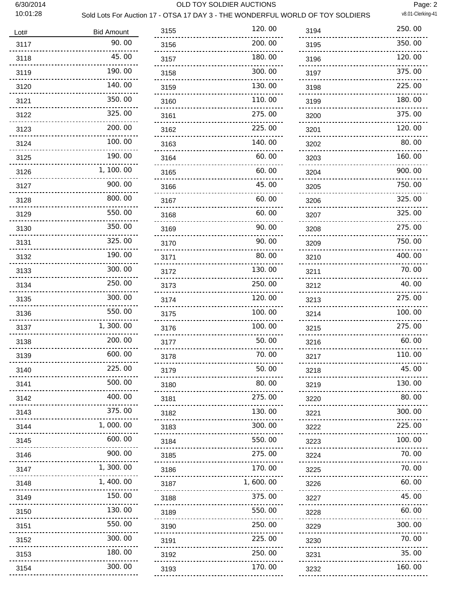#### 6/30/2014 OLD TOY SOLDIER AUCTIONS

Page: 2<br>v8.01-Clerking-41

### Sold Lots For Auction 17 - OTSA 17 DAY 3 - THE WONDERFUL WORLD OF TOY SOLDIERS

| Lot#               | <b>Bid Amount</b> |
|--------------------|-------------------|
| 3117               | 90.00             |
| 3118               | 45.00             |
| 3119               | 190.00            |
| 3120               | 140. 00           |
| 3121               | 350.00            |
| 3122               | 325.00            |
| 3123               | 200, 00           |
| 3124               | 100.00            |
| 3125               | 190.00            |
| 3126               | 1, 100. 00        |
| 3127               | 900.00            |
| 3128               | 800.00            |
| 3129               | 550.00            |
| 3130               | 350.00            |
| 3131               | 325.00            |
| 3132               | 190.00            |
| 3133               | 300.00            |
| 3134               | 250.00            |
| 3135               | 300.00            |
| 3136               | 550.00            |
| 3137               | 1,300,00          |
| 3138               | 200, 00           |
| 3139               | 600.00            |
| 3140               | 225.00            |
| 3141               | 500.00            |
| 3142               | 400.00            |
| 3143               | 375.00            |
| 3144               | 1,000.00          |
| 3145<br><u>.</u>   | 600.00            |
| 3146<br>. <b>.</b> | 900.00            |
| 3147               | 1, 300.00         |
| 3148               | 1, 400. 00        |
| 3149               | 150.00            |
| 3150               | 130.00            |
| 3151               | 550.00            |
| 3152               | 300.00            |
| 3153               | 180.00            |
| 3154<br>. <u>.</u> | 300.00            |

| 3155      | 120.00     |
|-----------|------------|
| 3156      | 200.00     |
| 3157      | 180.00     |
| 3158      | 300.00     |
| 3159      | 130.00     |
| 3160      | 110.00     |
| 3161      | 275.00     |
| 3162      | 225.00     |
| 3163      | 140.00     |
| 3164      | 60.00      |
| 3165      | 60.00      |
| 3166      | 45.00      |
| 3167      | 60.00      |
| 3168      | 60. 00     |
| 3169      | 90.00      |
| 3170      | 90.00      |
| 3171      | 80.00      |
| 3172      | 130.00     |
| 3173      | 250.00     |
| 3174      | 120.00     |
| 3175      | 100. 00    |
| 3176      | 100. 00    |
| 3177      | 50.00      |
| 3178      | 70. 00     |
| 3179      | 50.00      |
| 3180      | 80.00      |
| 3181      | 275.00     |
| 3182      | 130.00     |
| 3183      | 300.00     |
| 3184      | 550.00     |
| 3185      | 275.00     |
| 3186<br>. | 170.00     |
| 3187      | 1, 600. 00 |
| 3188      | 375.00     |
| 3189      | 550.00     |
| 3190      | 250.00     |
| 3191      | 225.00     |
| 3192      | 250.00     |
| 3193      | 170.00     |

| 3194              | 250.00 |
|-------------------|--------|
| 3195              | 350.00 |
| 3196              | 120.00 |
| 3197              | 375.00 |
| 3198              | 225.00 |
| 3199              | 180.00 |
| 3200              | 375.00 |
| 3201              | 120.00 |
| 3202              | 80.00  |
| 3203              | 160.00 |
| 3204              | 900.00 |
| 3205              | 750.00 |
| 3206              | 325.00 |
| 3207              | 325.00 |
| 3208              | 275.00 |
| 3209              | 750.00 |
| 3210              | 400.00 |
| 3211              | 70.00  |
| 3212              | 40.00  |
| 3213              | 275.00 |
| 3214              | 100.00 |
| 3215              | 275.00 |
| 3216              | 60.00  |
| 3217              | 110.00 |
| 3218              | 45.00  |
| 3219              | 130.00 |
| 3220              | 80.00  |
| 3221              | 300.00 |
| 3222              | 225.00 |
| <u>.</u><br>3223  | 100.00 |
| 3224              | 70.00  |
| <u>.</u><br>3225  | 70.00  |
| 3226              | 60.00  |
| <u></u> .<br>3227 | 45.00  |
| 3228              | 60.00  |
| 3229              | 300.00 |
| 3230              | 70.00  |
| 3231              | 35.00  |
| <u>.</u><br>3232  | 160.00 |
|                   |        |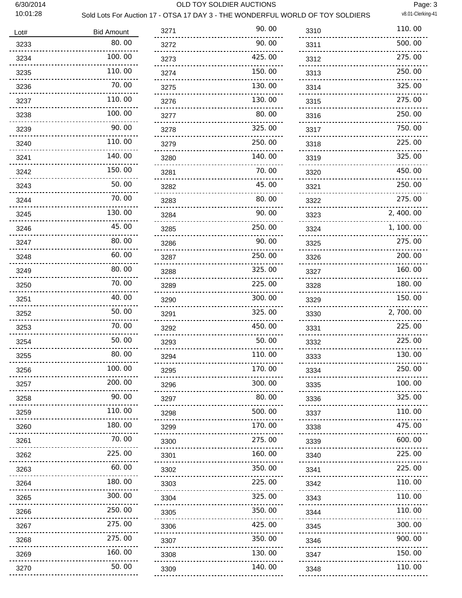#### 6/30/2014 OLD TOY SOLDIER AUCTIONS

Page: 3

### Sold Lots For Auction 17 - OTSA 17 DAY 3 - THE WONDERFUL WORLD OF TOY SOLDIERS v8.01-Clerking-41

| Lot# | <b>Bid Amount</b> | 3271 | 90.00                     |
|------|-------------------|------|---------------------------|
| 3233 | 80.00             | 3272 | 90.00                     |
| 3234 | 100.00            | 3273 | 425.00                    |
| 3235 | 110.00            | 3274 | 150.00                    |
| 3236 | 70.00             | 3275 | 130.00                    |
| 3237 | 110.00            | 3276 | 130.00                    |
| 3238 | 100.00            | 3277 | 80.00                     |
| 3239 | 90.00             | 3278 | 325.00                    |
| 3240 | 110.00            | 3279 | 250.00                    |
| 3241 | 140.00            | 3280 | 140.00                    |
| 3242 | 150.00            | 3281 | 70.00                     |
| 3243 | 50.00             | 3282 | 45.00                     |
| 3244 | 70.00             | 3283 | 80.00                     |
| 3245 | 130.00            | 3284 | 90.00                     |
| 3246 | 45.00             | 3285 | 250.00                    |
| 3247 | 80.00             | 3286 | 90.00                     |
| 3248 | 60.00             | 3287 | 250.00                    |
| 3249 | 80.00             | 3288 | 325.00                    |
| 3250 | 70.00             | 3289 | 225.00                    |
| 3251 | 40.00             | 3290 | 300.00                    |
| 3252 | 50.00             | 3291 | 325.00                    |
| 3253 | 70.00             | 3292 | 450.00                    |
| 3254 | 50.00             | 3293 | 50.00                     |
| 3255 | 80.00             | 3294 | 110.00                    |
| 3256 | 100.00            | 3295 | 170.00                    |
| 3257 | 200.00            | 3296 | 300.00                    |
| 3258 | 90.00             | 3297 | 80.00                     |
| 3259 | 110.00            | 3298 | 500.00                    |
| 3260 | 180.00            | 3299 | 170.00                    |
| 3261 | 70.00             | 3300 | 275.00                    |
| 3262 | 225.00            | 3301 | 160.00                    |
| 3263 | 60.00             | 3302 | 350.00                    |
| 3264 | 180.00            | 3303 | 225.00                    |
| 3265 | 300.00            | 3304 | $- - - - - - -$<br>325.00 |
| 3266 | 250.00            | 3305 | 350.00                    |
| 3267 | 275.00            | 3306 | 425.00                    |
| 3268 | 275.00            | 3307 | 350.00                    |
| 3269 | 160.00            | 3308 | 130.00                    |
| 3270 | 50.00             | 3309 | 140.00                    |
|      |                   |      |                           |

| 3310                              | 110.00     |
|-----------------------------------|------------|
| 3311                              | 500.00     |
| 3312                              | 275.00     |
| 3313                              | 250.00     |
| 3314                              | 325.00     |
| 3315                              | 275.00     |
| 3316                              | 250.00     |
| 3317                              | 750.00     |
| 3318                              | 225,00     |
| 3319                              | 325.00     |
| 3320                              | 450.00     |
| 3321                              | 250.00     |
| 3322                              | 275.00     |
| 3323                              | 2, 400, 00 |
| 3324                              | 1, 100. 00 |
| 3325                              | 275.00     |
| 3326                              | 200.00     |
| 3327                              | 160.00     |
| 3328                              | 180.00     |
| 3329                              | 150.00     |
| 3330                              | 2,700.00   |
| 3331                              | 225.00     |
| 3332                              | 225.00     |
| 3333                              | 130.00     |
| 3334                              | 250.00     |
| 3335<br>$- - - - - -$             | 100.00     |
| 3336<br>_______ <b>______</b>     | 325.00     |
| 3337                              | 110.00     |
| 3338<br><u>------------------</u> | 475.00     |
| 3339<br>.                         | 600.00     |
| 3340<br>.                         | 225.00     |
| 3341<br>.                         | 225.00     |
| 3342<br>.                         | 110.00     |
| 3343<br>.                         | 110.00     |
| 3344<br><u>.</u>                  | 110.00     |
| 3345<br>____ <b>__________</b> __ | 300.00     |
|                                   |            |
| 3346<br><u>.</u>                  | 900.00     |
| 3347<br>.                         | 150.00     |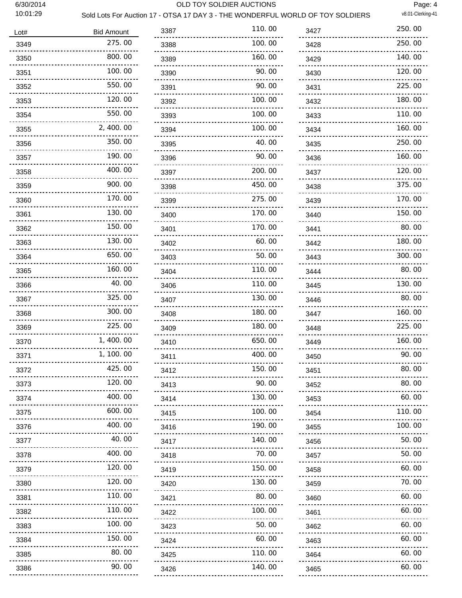$\overline{a}$ 

#### 6/30/2014 OLD TOY SOLDIER AUCTIONS

Page: 4<br>v8.01-Clerking-41

#### Sold Lots For Auction 17 - OTSA 17 DAY 3 - THE WONDERFUL WORLD OF TOY SOLDIERS

| Lot#                       | <b>Bid Amount</b> | 33             |
|----------------------------|-------------------|----------------|
| 3349<br>.                  | 275.00            | 33             |
| 3350<br>------------------ | 800.00            | 33             |
| 3351<br>.                  | 100.00            | 33             |
| 3352<br>.                  | 550.00            | 33             |
| 3353<br>.                  | 120.00            | 33             |
| 3354<br>.                  | 550.00            | 33             |
| 3355<br>.                  | 2, 400.00         | 33             |
| 3356<br>.                  | 350.00            | 33             |
| 3357<br><u></u>            | 190.00            | 33             |
| 3358                       | 400.00            | 33             |
| 3359<br><u></u>            | 900.00            | 33             |
| 3360                       | 170.00            | 33             |
| .<br>3361                  | 130.00            | 34             |
| <u></u><br>3362            | 150.00            | 34             |
| <br>3363                   | 130.00            | 34             |
| .<br>3364                  | 650.00            | 34             |
| <u></u><br>3365<br>        | 160.00            | 34             |
| 3366<br>                   | 40.00             | 34             |
| 3367<br>                   | 325.00            | 34             |
| 3368<br>.                  | 300.00            | 34             |
| 3369<br>.                  | 225.00            | 34             |
| 3370<br>.                  | 1,400.00          | 34             |
| 3371                       | 1, 100.00         | 34             |
| .<br>3372<br>.             | 425.00            | 34             |
| 3373                       | 120.00            | 34             |
| 3374                       | 400.00            | 34             |
| 3375                       | 600.00            | 34             |
| 3376<br>.                  | 400.00            | 34             |
| 3377                       | 40.00             | 34             |
| 3378                       | 400.00            | 3 <sub>4</sub> |
| 3379                       | 120.00            | 34             |
| 3380                       | 120.00            | 34             |
| 3381                       | 110.00            | 34             |
| 3382                       | 110.00            | 34             |
| 3383                       | 100.00            | 34             |
| 3384                       | 150.00            | 34             |
| 3385                       | 80.00             | 34             |
| 3386                       | 90.00             | 34             |
|                            |                   |                |

| 3387                         | 110.00       |
|------------------------------|--------------|
| 3388                         | 100. 00      |
| 3389                         | 160.00       |
| 3390                         | 90.00        |
| 3391                         | 90.00        |
| 3392                         | 100, 00      |
| 3393                         | 100.00       |
| 3394                         | 100.00       |
| 3395                         | 40.00        |
| 3396                         | 90.00        |
| 3397                         | 200.00       |
| 3398                         | 450.00       |
| 3399                         | 275.00       |
| 3400                         | 170.00       |
| 3401                         | 170.00       |
| 3402                         | 60.00        |
| 3403                         | 50. 00       |
| 3404                         | 110.00       |
| 3406                         | 110.00       |
| 3407                         | 130.00       |
| 3408                         | 180.00       |
| 3409                         | 180.00       |
| 3410                         | 650.00       |
| 3411                         | 400.00       |
| 3412                         | 150.00       |
| 3413<br>$\sim$ $\sim$ $\sim$ | 90.00        |
| 3414                         | 130.00       |
| 3415                         | 100.00       |
| 3416<br><u>.</u>             | 190.00       |
| 3417<br>$- - - - -$          | 140.00       |
| 3418<br>$- - -$              | 70. 00       |
| 3419<br>.                    | 150.00       |
| 3420<br>.                    | 130.00       |
| 3421                         | 80.00        |
| 3422                         | 100, 00      |
| 3423                         | 50. 00       |
| 3424                         | 60.00        |
| 3425                         | 11(<br>). OO |
| 3426<br>                     | 140.00       |

| 3427                                              | 250.00 |
|---------------------------------------------------|--------|
| 3428                                              | 250.00 |
| 3429                                              | 140.00 |
| 3430                                              | 120.00 |
| 3431                                              | 225.00 |
| 3432                                              | 180.00 |
| 3433                                              | 110.00 |
| 3434                                              | 160.00 |
| 3435                                              | 250.00 |
| 3436                                              | 160.00 |
| 3437                                              | 120.00 |
| 3438                                              | 375.00 |
| 3439                                              | 170.00 |
| 3440                                              | 150.00 |
| 3441                                              | 80.00  |
| 3442                                              | 180.00 |
| 3443                                              | 300.00 |
| 3444                                              | 80.00  |
| 3445                                              | 130.00 |
| 3446                                              | 80.00  |
| 3447                                              | 160.00 |
| 3448                                              | 225.00 |
| 3449                                              | 160.00 |
| 3450                                              | 90.00  |
| 3451                                              | 80.00  |
| 3452                                              | 80.00  |
| 3453                                              | 60.00  |
| 3454                                              | 110.00 |
| 3455<br>$\frac{1}{2}$ $\frac{1}{2}$ $\frac{1}{2}$ | 100.00 |
| 3456                                              | 50.00  |
| 3457                                              | 50.00  |
| 3458<br>.                                         | 60.00  |
| 3459                                              | 70.00  |
| 3460                                              | 60.00  |
| 3461                                              | 60.00  |
| 3462<br><u>.</u>                                  | 60.00  |
| 3463                                              | 60.00  |
| 3464                                              | 60.00  |
| 3465                                              | 60.00  |